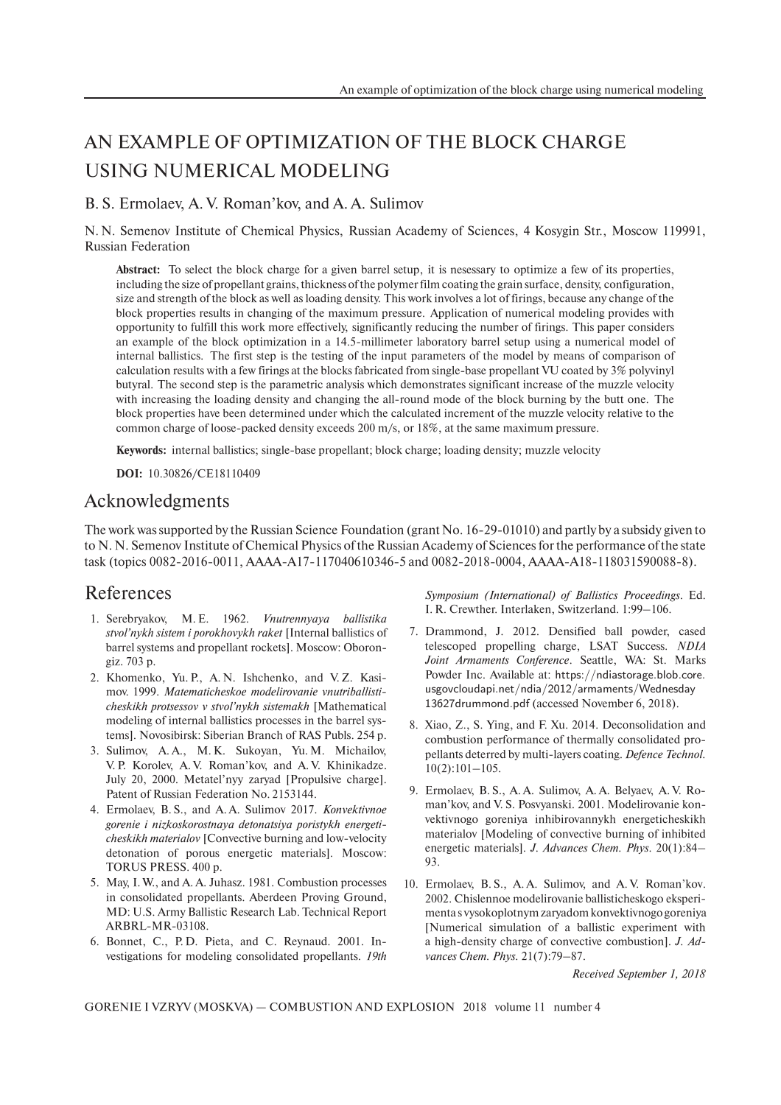## AN EXAMPLE OF OPTIMIZATION OF THE BLOCK CHARGE USING NUMERICAL MODELING

B. S. Ermolaev, А. V. Roman'kov, and A. A. Sulimov

N. N. Semenov Institute of Chemical Physics, Russian Academy of Sciences, 4 Kosygin Str., Moscow 119991, Russian Federation

**Abstract:** To select the block charge for a given barrel setup, it is nesessary to optimize a few of its properties, including the size of propellant grains, thickness of the polymer film coating the grain surface, density, configuration, size and strength of the block as well as loading density. This work involves a lot of firings, because any change of the block properties results in changing of the maximum pressure. Application of numerical modeling provides with opportunity to fulfill this work more effectively, significantly reducing the number of firings. This paper considers an example of the block optimization in a 14.5-millimeter laboratory barrel setup using a numerical model of internal ballistics. The first step is the testing of the input parameters of the model by means of comparison of calculation results with a few firings at the blocks fabricated from single-base propellant VU coated by 3% polyvinyl butyral. The second step is the parametric analysis which demonstrates significant increase of the muzzle velocity with increasing the loading density and changing the all-round mode of the block burning by the butt one. The block properties have been determined under which the calculated increment of the muzzle velocity relative to the common charge of loose-packed density exceeds 200 m/s, or 18%, at the same maximum pressure.

**Keywords:** internal ballistics; single-base propellant; block charge; loading density; muzzle velocity

**DOI:** 10.30826/CE18110409

## Acknowledgments

The work was supported by the Russian Science Foundation (grant No. 16-29-01010) and partly by a subsidy given to to N. N. Semenov Institute of Chemical Physics of the Russian Academy of Sciences for the performance of the state task (topics 0082-2016-0011, AAAA-A17-117040610346-5 and 0082-2018-0004, AAAA-A18-118031590088-8).

## References

- 1. Serebryakov, М. Е. 1962. *Vnutrennyaya ballistika stvol'nykh sistem i porokhovykh raket* [Internal ballistics of barrel systems and propellant rockets]. Мoscow: Oborongiz. 703 p.
- 2. Khomenko, Yu. P., A. N. Ishchenko, and V. Z. Kasimov. 1999. *Matematicheskoe modelirovanie vnutriballisticheskikh protsessov v stvol'nykh sistemakh* [Mathematical modeling of internal ballistics processes in the barrel systems]. Novosibirsk: Siberian Branch of RAS Publs. 254 p.
- 3. Sulimov, А. А., M. K. Sukoyan, Yu. M. Michailov, V. P. Korolev, A. V. Roman'kov, and A. V. Khinikadze. July 20, 2000. Metatel'nyy zaryad [Propulsive charge]. Patent of Russian Federation No. 2153144.
- 4. Ermolaev, B. S., and A. A. Sulimov 2017. *Konvektivnoe gorenie i nizkoskorostnaya detonatsiya poristykh energeticheskikh materialov* [Convective burning and low-velocity detonation of porous energetic materials]. Moscow: TORUS PRESS. 400 p.
- 5. May, I. W., and A. A. Juhasz. 1981. Combustion processes in consolidated propellants. Aberdeen Proving Ground, MD: U.S. Army Ballistic Research Lab. Technical Report ARBRL-MR-03108.
- 6. Bonnet, C., P. D. Pieta, and C. Reynaud. 2001. Investigations for modeling consolidated propellants. *19th*

*Symposium (International) of Ballistics Proceedings*. Ed. I. R. Crewther. Interlaken, Switzerland. 1:99–106.

- 7. Drammond, J. 2012. Densified ball powder, cased telescoped propelling charge, LSAT Success. *NDIA Joint Armaments Conference*. Seattle, WA: St. Marks Powder Inc. Available at: https://ndiastorage.blob.core. usgovcloudapi.net/ndia/2012/armaments/Wednesday 13627drummond.pdf (accessed November 6, 2018).
- 8. Xiao, Z., S. Ying, and F. Xu. 2014. Deconsolidation and combustion performance of thermally consolidated propellants deterred by multi-layers coating. *Defence Technol.* 10(2):101–105.
- 9. Ermolaev, B. S., A. A. Sulimov, A. A. Belyaev, A. V. Roman'kov, and V. S. Posvyanski. 2001. Modelirovanie konvektivnogo goreniya inhibirovannykh energeticheskikh materialov [Modeling of convective burning of inhibited energetic materials]. *J. Advances Chem. Phys.* 20(1):84– 93.
- 10. Ermolaev, B. S., A. A. Sulimov, and A. V. Roman'kov. 2002. Chislennoe modelirovanie ballisticheskogo eksperimenta s vysokoplotnym zaryadom konvektivnogo goreniya [Numerical simulation of a ballistic experiment with a high-density charge of convective combustion]. *J. Advances Chem. Phys.* 21(7):79–87.

*Received September 1, 2018*

GORENIE I VZRYV (MOSKVA) — COMBUSTION AND EXPLOSION 2018 volume 11 number 4